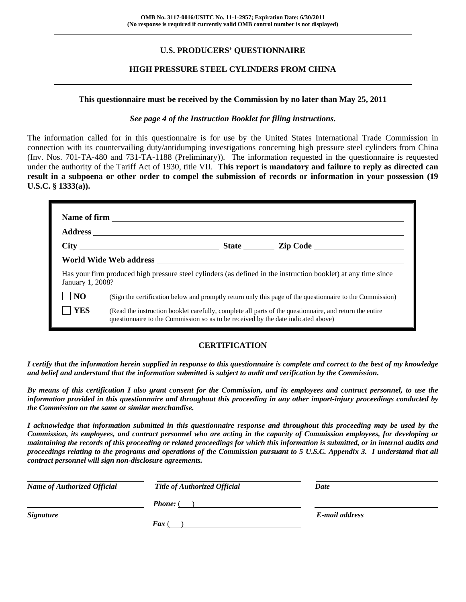# **U.S. PRODUCERS' QUESTIONNAIRE**

## **HIGH PRESSURE STEEL CYLINDERS FROM CHINA**

#### **This questionnaire must be received by the Commission by no later than May 25, 2011**

#### *See page 4 of the Instruction Booklet for filing instructions.*

The information called for in this questionnaire is for use by the United States International Trade Commission in connection with its countervailing duty/antidumping investigations concerning high pressure steel cylinders from China (Inv. Nos. 701-TA-480 and 731-TA-1188 (Preliminary)). The information requested in the questionnaire is requested under the authority of the Tariff Act of 1930, title VII. **This report is mandatory and failure to reply as directed can result in a subpoena or other order to compel the submission of records or information in your possession (19 U.S.C. § 1333(a)).**

| January 1, 2008? |                                                                                                                                                                                              |  | Has your firm produced high pressure steel cylinders (as defined in the instruction booklet) at any time since |
|------------------|----------------------------------------------------------------------------------------------------------------------------------------------------------------------------------------------|--|----------------------------------------------------------------------------------------------------------------|
| NO               | (Sign the certification below and promptly return only this page of the questionnaire to the Commission)                                                                                     |  |                                                                                                                |
| <b>YES</b>       | (Read the instruction booklet carefully, complete all parts of the questionnaire, and return the entire<br>questionnaire to the Commission so as to be received by the date indicated above) |  |                                                                                                                |

## **CERTIFICATION**

*I certify that the information herein supplied in response to this questionnaire is complete and correct to the best of my knowledge and belief and understand that the information submitted is subject to audit and verification by the Commission.* 

*By means of this certification I also grant consent for the Commission, and its employees and contract personnel, to use the information provided in this questionnaire and throughout this proceeding in any other import-injury proceedings conducted by the Commission on the same or similar merchandise.* 

*I acknowledge that information submitted in this questionnaire response and throughout this proceeding may be used by the Commission, its employees, and contract personnel who are acting in the capacity of Commission employees, for developing or maintaining the records of this proceeding or related proceedings for which this information is submitted, or in internal audits and proceedings relating to the programs and operations of the Commission pursuant to 5 U.S.C. Appendix 3. I understand that all contract personnel will sign non-disclosure agreements.* 

| <b>Name of Authorized Official</b> | <b>Title of Authorized Official</b> | Date           |
|------------------------------------|-------------------------------------|----------------|
|                                    | <b>Phone:</b> (                     |                |
| <i><b>Signature</b></i>            |                                     | E-mail address |
|                                    | <b>Fax</b> (                        |                |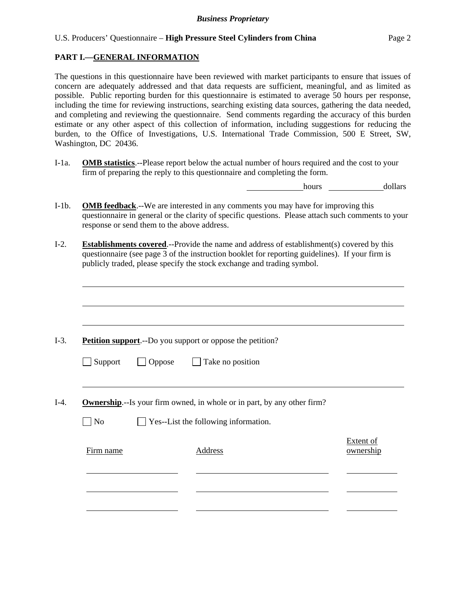# **PART I.—GENERAL INFORMATION**

l

l

l

l

The questions in this questionnaire have been reviewed with market participants to ensure that issues of concern are adequately addressed and that data requests are sufficient, meaningful, and as limited as possible. Public reporting burden for this questionnaire is estimated to average 50 hours per response, including the time for reviewing instructions, searching existing data sources, gathering the data needed, and completing and reviewing the questionnaire. Send comments regarding the accuracy of this burden estimate or any other aspect of this collection of information, including suggestions for reducing the burden, to the Office of Investigations, U.S. International Trade Commission, 500 E Street, SW, Washington, DC 20436.

I-1a. **OMB statistics**.--Please report below the actual number of hours required and the cost to your firm of preparing the reply to this questionnaire and completing the form.

hours dollars

 $E = \frac{1}{2}$ 

- I-1b. **OMB feedback**.--We are interested in any comments you may have for improving this questionnaire in general or the clarity of specific questions. Please attach such comments to your response or send them to the above address.
- I-2. **Establishments covered**.--Provide the name and address of establishment(s) covered by this questionnaire (see page 3 of the instruction booklet for reporting guidelines). If your firm is publicly traded, please specify the stock exchange and trading symbol.

I-3. **Petition support**.--Do you support or oppose the petition?

| $\Box$ Support | $\Box$ Oppose | $\Box$ Take no position |
|----------------|---------------|-------------------------|
|----------------|---------------|-------------------------|

I-4. **Ownership**.--Is your firm owned, in whole or in part, by any other firm?

 $\Box$  No  $\Box$  Yes--List the following information.

| Firm name | Address | <u>Extent of</u><br>ownership |
|-----------|---------|-------------------------------|
|           |         |                               |
|           |         |                               |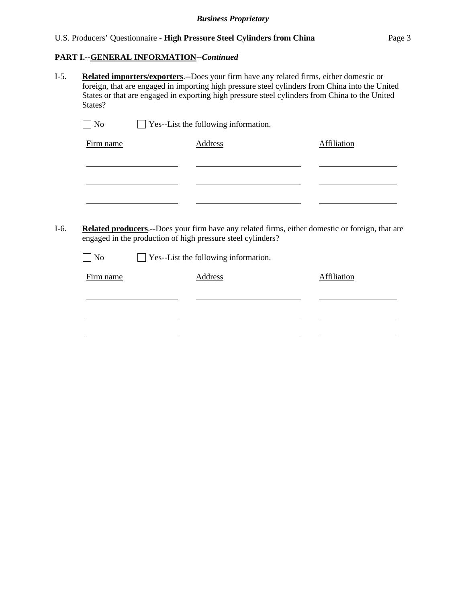## U.S. Producers' Questionnaire - **High Pressure Steel Cylinders from China** Page 3

## **PART I.--GENERAL INFORMATION***--Continued*

l

l

I-5. **Related importers/exporters**.--Does your firm have any related firms, either domestic or foreign, that are engaged in importing high pressure steel cylinders from China into the United States or that are engaged in exporting high pressure steel cylinders from China to the United States?

| $\vert$   No | $\Box$ Yes--List the following information. |             |
|--------------|---------------------------------------------|-------------|
| Firm name    | Address                                     | Affiliation |
|              |                                             |             |

- I-6. **Related producers**.--Does your firm have any related firms, either domestic or foreign, that are engaged in the production of high pressure steel cylinders?
	- $\Box$  No  $\Box$  Yes--List the following information.

| Firm name | <b>Address</b> | Affiliation |
|-----------|----------------|-------------|
|           |                |             |
|           |                |             |
|           |                |             |
|           |                |             |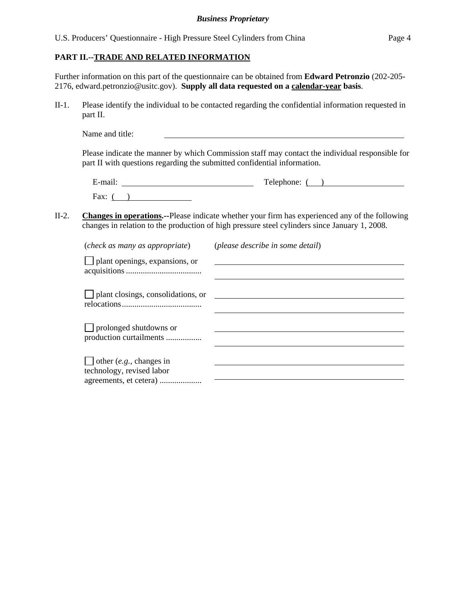## **PART II.--TRADE AND RELATED INFORMATION**

Further information on this part of the questionnaire can be obtained from **Edward Petronzio** (202-205- 2176, edward.petronzio@usitc.gov). **Supply all data requested on a calendar-year basis**.

II-1. Please identify the individual to be contacted regarding the confidential information requested in part II.

Name and title:

Please indicate the manner by which Commission staff may contact the individual responsible for part II with questions regarding the submitted confidential information.

| $\cdot$ $\cdot$<br>±-mail: | $\mathbf{r}$<br>elephone: |
|----------------------------|---------------------------|
| Fax:                       |                           |

II-2. **Changes in operations.--**Please indicate whether your firm has experienced any of the following changes in relation to the production of high pressure steel cylinders since January 1, 2008.

| (check as many as appropriate)                              | (please describe in some detail) |
|-------------------------------------------------------------|----------------------------------|
| $\Box$ plant openings, expansions, or                       |                                  |
| $\Box$ plant closings, consolidations, or                   |                                  |
| $\Box$ prolonged shutdowns or<br>production curtailments    |                                  |
| $\Box$ other (e.g., changes in<br>technology, revised labor |                                  |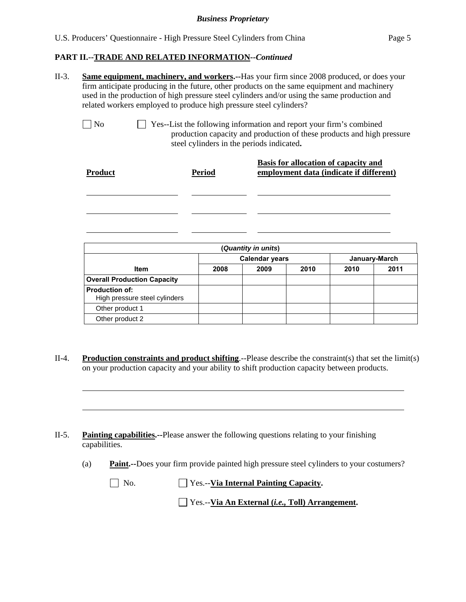#### **PART II.--TRADE AND RELATED INFORMATION***--Continued*

l

l

l

| $II-3$ . | <b>Same equipment, machinery, and workers.</b> --Has your firm since 2008 produced, or does your |
|----------|--------------------------------------------------------------------------------------------------|
|          | firm anticipate producing in the future, other products on the same equipment and machinery      |
|          | used in the production of high pressure steel cylinders and/or using the same production and     |
|          | related workers employed to produce high pressure steel cylinders?                               |

 No Yes--List the following information and report your firm's combined production capacity and production of these products and high pressure steel cylinders in the periods indicated**.**

| <b>Product</b> | <b>Period</b> | Basis for allocation of capacity and<br>employment data (indicate if different) |
|----------------|---------------|---------------------------------------------------------------------------------|
|                |               |                                                                                 |
|                |               |                                                                                 |

| (Quantity in units)                                    |                                        |      |      |      |      |  |
|--------------------------------------------------------|----------------------------------------|------|------|------|------|--|
|                                                        | <b>Calendar years</b><br>January-March |      |      |      |      |  |
| <b>Item</b>                                            | 2008                                   | 2009 | 2010 | 2010 | 2011 |  |
| <b>Overall Production Capacity</b>                     |                                        |      |      |      |      |  |
| <b>Production of:</b><br>High pressure steel cylinders |                                        |      |      |      |      |  |
| Other product 1                                        |                                        |      |      |      |      |  |
| Other product 2                                        |                                        |      |      |      |      |  |

II-4. **Production constraints and product shifting**.--Please describe the constraint(s) that set the limit(s) on your production capacity and your ability to shift production capacity between products.

II-5. **Painting capabilities.--**Please answer the following questions relating to your finishing capabilities.

(a) **Paint.--**Does your firm provide painted high pressure steel cylinders to your costumers?

 No. Yes.--**Via Internal Painting Capacity.** Yes.--**Via An External (***i.e.,* **Toll) Arrangement.**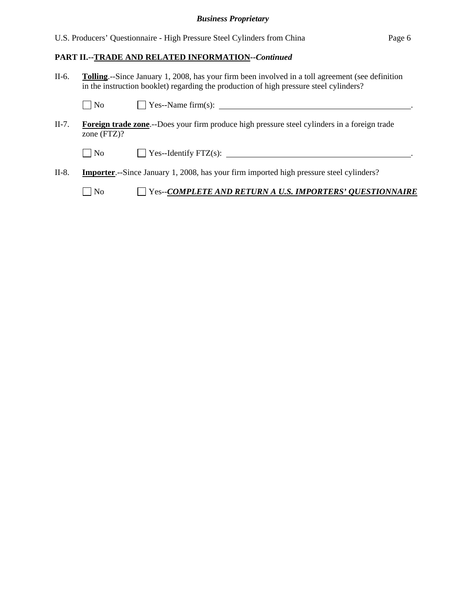| U.S. Producers' Questionnaire - High Pressure Steel Cylinders from China | Page 6 |
|--------------------------------------------------------------------------|--------|
|--------------------------------------------------------------------------|--------|

# **PART II.--TRADE AND RELATED INFORMATION***--Continued*

II-6. **Tolling**.--Since January 1, 2008, has your firm been involved in a toll agreement (see definition in the instruction booklet) regarding the production of high pressure steel cylinders?

|       | $\blacksquare$ No | $\Box$ Yes--Name firm(s):                                                                            |
|-------|-------------------|------------------------------------------------------------------------------------------------------|
| II-7. | zone $(FTZ)?$     | <b>Foreign trade zone.</b> --Does your firm produce high pressure steel cylinders in a foreign trade |
|       | $\overline{N}$    |                                                                                                      |
| II-8. |                   | <b>Importer.</b> --Since January 1, 2008, has your firm imported high pressure steel cylinders?      |
|       | N <sub>0</sub>    | <b>THE SET OF SET OF SET AND RETURN A U.S. IMPORTERS' QUESTIONNAIRE</b>                              |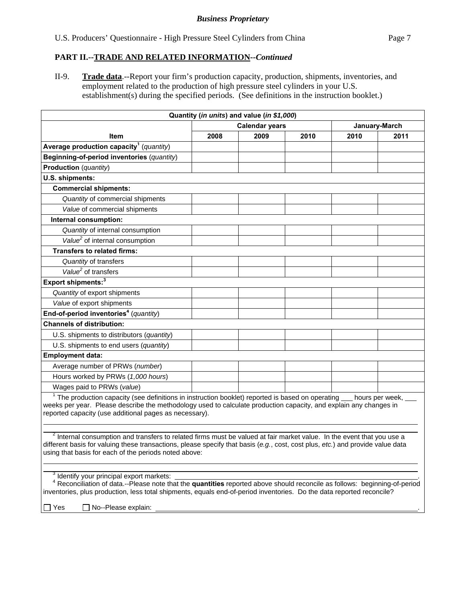## **PART II.--TRADE AND RELATED INFORMATION***--Continued*

II-9. **Trade data**.--Report your firm's production capacity, production, shipments, inventories, and employment related to the production of high pressure steel cylinders in your U.S. establishment(s) during the specified periods. (See definitions in the instruction booklet.)

|                                                                                                                                                                                                                                                                                                                                           |                       | Quantity (in units) and value (in \$1,000) |      |      |               |
|-------------------------------------------------------------------------------------------------------------------------------------------------------------------------------------------------------------------------------------------------------------------------------------------------------------------------------------------|-----------------------|--------------------------------------------|------|------|---------------|
|                                                                                                                                                                                                                                                                                                                                           | <b>Calendar years</b> |                                            |      |      | January-March |
| <b>Item</b>                                                                                                                                                                                                                                                                                                                               | 2008                  | 2009                                       | 2010 | 2010 | 2011          |
| Average production capacity <sup>1</sup> (quantity)                                                                                                                                                                                                                                                                                       |                       |                                            |      |      |               |
| Beginning-of-period inventories (quantity)                                                                                                                                                                                                                                                                                                |                       |                                            |      |      |               |
| <b>Production</b> (quantity)                                                                                                                                                                                                                                                                                                              |                       |                                            |      |      |               |
| U.S. shipments:                                                                                                                                                                                                                                                                                                                           |                       |                                            |      |      |               |
| <b>Commercial shipments:</b>                                                                                                                                                                                                                                                                                                              |                       |                                            |      |      |               |
| Quantity of commercial shipments                                                                                                                                                                                                                                                                                                          |                       |                                            |      |      |               |
| Value of commercial shipments                                                                                                                                                                                                                                                                                                             |                       |                                            |      |      |               |
| Internal consumption:                                                                                                                                                                                                                                                                                                                     |                       |                                            |      |      |               |
| Quantity of internal consumption                                                                                                                                                                                                                                                                                                          |                       |                                            |      |      |               |
| Value <sup>2</sup> of internal consumption                                                                                                                                                                                                                                                                                                |                       |                                            |      |      |               |
| <b>Transfers to related firms:</b>                                                                                                                                                                                                                                                                                                        |                       |                                            |      |      |               |
| Quantity of transfers                                                                                                                                                                                                                                                                                                                     |                       |                                            |      |      |               |
| Value <sup>2</sup> of transfers                                                                                                                                                                                                                                                                                                           |                       |                                            |      |      |               |
| Export shipments: <sup>3</sup>                                                                                                                                                                                                                                                                                                            |                       |                                            |      |      |               |
| Quantity of export shipments                                                                                                                                                                                                                                                                                                              |                       |                                            |      |      |               |
| Value of export shipments                                                                                                                                                                                                                                                                                                                 |                       |                                            |      |      |               |
| End-of-period inventories <sup>4</sup> (quantity)                                                                                                                                                                                                                                                                                         |                       |                                            |      |      |               |
| <b>Channels of distribution:</b>                                                                                                                                                                                                                                                                                                          |                       |                                            |      |      |               |
| U.S. shipments to distributors (quantity)                                                                                                                                                                                                                                                                                                 |                       |                                            |      |      |               |
| U.S. shipments to end users (quantity)                                                                                                                                                                                                                                                                                                    |                       |                                            |      |      |               |
| <b>Employment data:</b>                                                                                                                                                                                                                                                                                                                   |                       |                                            |      |      |               |
| Average number of PRWs (number)                                                                                                                                                                                                                                                                                                           |                       |                                            |      |      |               |
| Hours worked by PRWs (1,000 hours)                                                                                                                                                                                                                                                                                                        |                       |                                            |      |      |               |
| Wages paid to PRWs (value)                                                                                                                                                                                                                                                                                                                |                       |                                            |      |      |               |
| $1$ The production capacity (see definitions in instruction booklet) reported is based on operating $\_\_$ hours per week, $\_\_$<br>weeks per year. Please describe the methodology used to calculate production capacity, and explain any changes in<br>reported capacity (use additional pages as necessary).                          |                       |                                            |      |      |               |
| <sup>2</sup> Internal consumption and transfers to related firms must be valued at fair market value. In the event that you use a<br>different basis for valuing these transactions, please specify that basis (e.g., cost, cost plus, etc.) and provide value data<br>using that basis for each of the periods noted above:              |                       |                                            |      |      |               |
| <sup>3</sup> Identify your principal export markets:<br>Reconciliation of data.--Please note that the quantities reported above should reconcile as follows: beginning-of-period<br>inventories, plus production, less total shipments, equals end-of-period inventories. Do the data reported reconcile?<br>Yes<br>□ No--Please explain: |                       |                                            |      |      |               |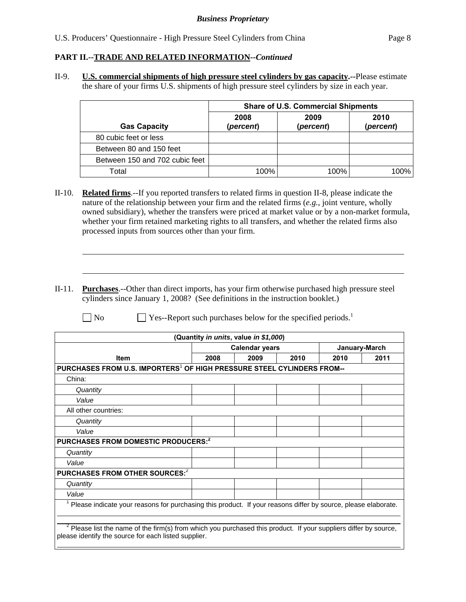## **PART II.--TRADE AND RELATED INFORMATION***--Continued*

 $\overline{a}$ 

l

II-9. **U.S. commercial shipments of high pressure steel cylinders by gas capacity.--**Please estimate the share of your firms U.S. shipments of high pressure steel cylinders by size in each year.

|                                | <b>Share of U.S. Commercial Shipments</b> |                   |                   |  |  |
|--------------------------------|-------------------------------------------|-------------------|-------------------|--|--|
| <b>Gas Capacity</b>            | 2008<br>(percent)                         | 2009<br>(percent) | 2010<br>(percent) |  |  |
| 80 cubic feet or less          |                                           |                   |                   |  |  |
| Between 80 and 150 feet        |                                           |                   |                   |  |  |
| Between 150 and 702 cubic feet |                                           |                   |                   |  |  |
| Total                          | 100%                                      | 100%              | $100\%$           |  |  |

- II-10. **Related firms**.--If you reported transfers to related firms in question II-8, please indicate the nature of the relationship between your firm and the related firms (*e.g.*, joint venture, wholly owned subsidiary), whether the transfers were priced at market value or by a non-market formula, whether your firm retained marketing rights to all transfers, and whether the related firms also processed inputs from sources other than your firm.
- II-11. **Purchases**.--Other than direct imports, has your firm otherwise purchased high pressure steel cylinders since January 1, 2008? (See definitions in the instruction booklet.)

 $\Box$  No  $\Box$  Yes--Report such purchases below for the specified periods.<sup>1</sup>

| (Quantity in units, value in \$1,000)                                                                                                                                  |      |                       |      |      |               |
|------------------------------------------------------------------------------------------------------------------------------------------------------------------------|------|-----------------------|------|------|---------------|
|                                                                                                                                                                        |      | <b>Calendar years</b> |      |      | January-March |
| <b>Item</b>                                                                                                                                                            | 2008 | 2009                  | 2010 | 2010 | 2011          |
| PURCHASES FROM U.S. IMPORTERS <sup>1</sup> OF HIGH PRESSURE STEEL CYLINDERS FROM--                                                                                     |      |                       |      |      |               |
| China:                                                                                                                                                                 |      |                       |      |      |               |
| Quantity                                                                                                                                                               |      |                       |      |      |               |
| Value                                                                                                                                                                  |      |                       |      |      |               |
| All other countries:                                                                                                                                                   |      |                       |      |      |               |
| Quantity                                                                                                                                                               |      |                       |      |      |               |
| Value                                                                                                                                                                  |      |                       |      |      |               |
| PURCHASES FROM DOMESTIC PRODUCERS: <sup>2</sup>                                                                                                                        |      |                       |      |      |               |
| Quantity                                                                                                                                                               |      |                       |      |      |               |
| Value                                                                                                                                                                  |      |                       |      |      |               |
| PURCHASES FROM OTHER SOURCES:2                                                                                                                                         |      |                       |      |      |               |
| Quantity                                                                                                                                                               |      |                       |      |      |               |
| Value                                                                                                                                                                  |      |                       |      |      |               |
| Please indicate your reasons for purchasing this product. If your reasons differ by source, please elaborate.                                                          |      |                       |      |      |               |
| Please list the name of the firm(s) from which you purchased this product. If your suppliers differ by source,<br>please identify the source for each listed supplier. |      |                       |      |      |               |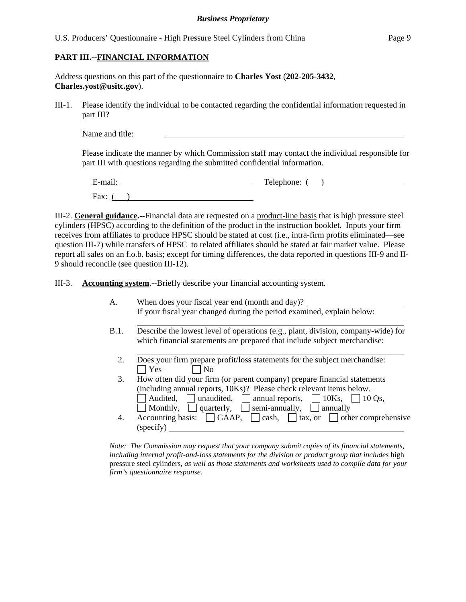## **PART III.--FINANCIAL INFORMATION**

l

Address questions on this part of the questionnaire to **Charles Yost** (**202-205**-**3432**, **Charles.yost@usitc.gov**).

III-1. Please identify the individual to be contacted regarding the confidential information requested in part III?

Name and title:

Please indicate the manner by which Commission staff may contact the individual responsible for part III with questions regarding the submitted confidential information.

E-mail: Telephone: ( ) Fax:  $($ )

III-2. **General guidance.--**Financial data are requested on a product-line basis that is high pressure steel cylinders (HPSC) according to the definition of the product in the instruction booklet. Inputs your firm receives from affiliates to produce HPSC should be stated at cost (i.e., intra-firm profits eliminated—see question III-7) while transfers of HPSC to related affiliates should be stated at fair market value. Please report all sales on an f.o.b. basis; except for timing differences, the data reported in questions III-9 and II-9 should reconcile (see question III-12).

III-3. **Accounting system**.--Briefly describe your financial accounting system.

- A. When does your fiscal year end (month and day)? If your fiscal year changed during the period examined, explain below:
- B.1. Describe the lowest level of operations (e.g., plant, division, company-wide) for which financial statements are prepared that include subject merchandise:
	- 2. Does your firm prepare profit/loss statements for the subject merchandise:<br> $\Box$  Yes  $\Box$  No  $\Box$  No
	- 3. How often did your firm (or parent company) prepare financial statements (including annual reports, 10Ks)? Please check relevant items below. Audited, unaudited, annual reports,  $\Box$  10Ks,  $\Box$  10 Qs,  $\Box$  Monthly,  $\Box$  quarterly,  $\Box$  semi-annually,  $\Box$  annually 4. Accounting basis:  $\Box$  GAAP,  $\Box$  cash,  $\Box$  tax, or  $\Box$  other comprehensive (specify)

*Note: The Commission may request that your company submit copies of its financial statements, including internal profit-and-loss statements for the division or product group that includes* high pressure steel cylinders*, as well as those statements and worksheets used to compile data for your firm's questionnaire response.*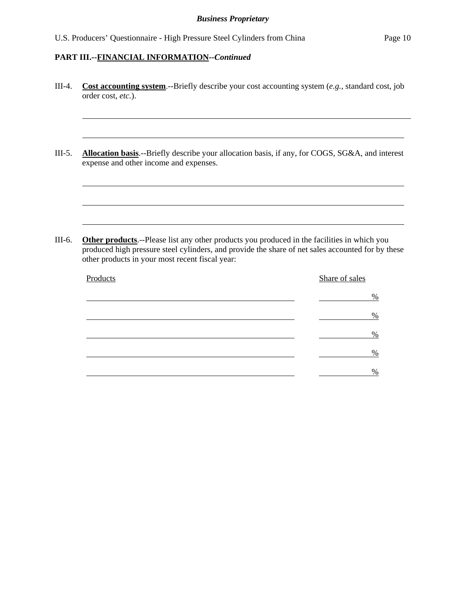$\overline{a}$ 

l

l

l

l

- III-4. **Cost accounting system**.--Briefly describe your cost accounting system (*e.g.*, standard cost, job order cost, *etc.*).
- III-5. **Allocation basis**.--Briefly describe your allocation basis, if any, for COGS, SG&A, and interest expense and other income and expenses.

III-6. **Other products**.--Please list any other products you produced in the facilities in which you produced high pressure steel cylinders, and provide the share of net sales accounted for by these other products in your most recent fiscal year:

| Products | Share of sales |
|----------|----------------|
|          | %              |
|          | $\%$           |
|          | $\%$           |
|          | $\frac{0}{0}$  |
|          | $\%$           |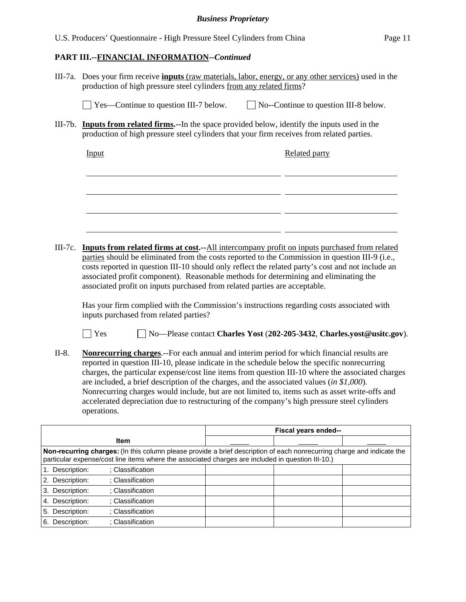|                 | U.S. Producers' Questionnaire - High Pressure Steel Cylinders from China                                                                                                                                                                                                                                                                                                                                                                                                                                                                                                                                               |                                                                        |                                              | Page 11 |  |  |  |
|-----------------|------------------------------------------------------------------------------------------------------------------------------------------------------------------------------------------------------------------------------------------------------------------------------------------------------------------------------------------------------------------------------------------------------------------------------------------------------------------------------------------------------------------------------------------------------------------------------------------------------------------------|------------------------------------------------------------------------|----------------------------------------------|---------|--|--|--|
|                 | PART III.--FINANCIAL INFORMATION--Continued                                                                                                                                                                                                                                                                                                                                                                                                                                                                                                                                                                            |                                                                        |                                              |         |  |  |  |
|                 | III-7a. Does your firm receive <i>inputs</i> (raw materials, labor, energy, or any other services) used in the<br>production of high pressure steel cylinders from any related firms?                                                                                                                                                                                                                                                                                                                                                                                                                                  |                                                                        |                                              |         |  |  |  |
|                 | Yes—Continue to question III-7 below.                                                                                                                                                                                                                                                                                                                                                                                                                                                                                                                                                                                  |                                                                        | $\Box$ No--Continue to question III-8 below. |         |  |  |  |
|                 | III-7b. <b>Inputs from related firms.</b> --In the space provided below, identify the inputs used in the<br>production of high pressure steel cylinders that your firm receives from related parties.                                                                                                                                                                                                                                                                                                                                                                                                                  |                                                                        |                                              |         |  |  |  |
|                 | Input                                                                                                                                                                                                                                                                                                                                                                                                                                                                                                                                                                                                                  |                                                                        | <b>Related party</b>                         |         |  |  |  |
|                 |                                                                                                                                                                                                                                                                                                                                                                                                                                                                                                                                                                                                                        |                                                                        |                                              |         |  |  |  |
|                 |                                                                                                                                                                                                                                                                                                                                                                                                                                                                                                                                                                                                                        |                                                                        |                                              |         |  |  |  |
| $III-7c.$       | <b>Inputs from related firms at cost.</b> --All intercompany profit on inputs purchased from related                                                                                                                                                                                                                                                                                                                                                                                                                                                                                                                   |                                                                        |                                              |         |  |  |  |
|                 | parties should be eliminated from the costs reported to the Commission in question III-9 (i.e.,<br>costs reported in question III-10 should only reflect the related party's cost and not include an<br>associated profit component). Reasonable methods for determining and eliminating the<br>associated profit on inputs purchased from related parties are acceptable.                                                                                                                                                                                                                                             |                                                                        |                                              |         |  |  |  |
|                 | Has your firm complied with the Commission's instructions regarding costs associated with<br>inputs purchased from related parties?                                                                                                                                                                                                                                                                                                                                                                                                                                                                                    |                                                                        |                                              |         |  |  |  |
|                 | <b>Yes</b>                                                                                                                                                                                                                                                                                                                                                                                                                                                                                                                                                                                                             | No-Please contact Charles Yost (202-205-3432, Charles.yost@usitc.gov). |                                              |         |  |  |  |
| $II-8.$         | <b>Nonrecurring charges.</b> --For each annual and interim period for which financial results are<br>reported in question III-10, please indicate in the schedule below the specific nonrecurring<br>charges, the particular expense/cost line items from question III-10 where the associated charges<br>are included, a brief description of the charges, and the associated values (in $$1,000$ ).<br>Nonrecurring charges would include, but are not limited to, items such as asset write-offs and<br>accelerated depreciation due to restructuring of the company's high pressure steel cylinders<br>operations. |                                                                        |                                              |         |  |  |  |
|                 |                                                                                                                                                                                                                                                                                                                                                                                                                                                                                                                                                                                                                        |                                                                        | Fiscal years ended--                         |         |  |  |  |
|                 | Item                                                                                                                                                                                                                                                                                                                                                                                                                                                                                                                                                                                                                   |                                                                        |                                              |         |  |  |  |
|                 | Non-recurring charges: (In this column please provide a brief description of each nonrecurring charge and indicate the<br>particular expense/cost line items where the associated charges are included in question III-10.)                                                                                                                                                                                                                                                                                                                                                                                            |                                                                        |                                              |         |  |  |  |
| 1. Description: | ; Classification                                                                                                                                                                                                                                                                                                                                                                                                                                                                                                                                                                                                       |                                                                        |                                              |         |  |  |  |
| 2. Description: | ; Classification                                                                                                                                                                                                                                                                                                                                                                                                                                                                                                                                                                                                       |                                                                        |                                              |         |  |  |  |
| 3. Description: | ; Classification                                                                                                                                                                                                                                                                                                                                                                                                                                                                                                                                                                                                       |                                                                        |                                              |         |  |  |  |
| 4. Description: | ; Classification                                                                                                                                                                                                                                                                                                                                                                                                                                                                                                                                                                                                       |                                                                        |                                              |         |  |  |  |

5. Description: ; Classification 6. Description: ; Classification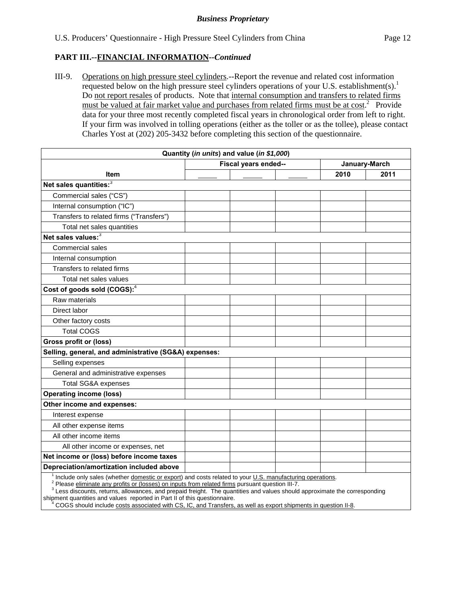III-9. Operations on high pressure steel cylinders.--Report the revenue and related cost information requested below on the high pressure steel cylinders operations of your U.S. establishment(s).<sup>1</sup> Do not report resales of products. Note that internal consumption and transfers to related firms must be valued at fair market value and purchases from related firms must be at cost.<sup>2</sup> Provide data for your three most recently completed fiscal years in chronological order from left to right. If your firm was involved in tolling operations (either as the toller or as the tollee), please contact Charles Yost at (202) 205-3432 before completing this section of the questionnaire.

|                                                                                                          | Quantity (in units) and value (in \$1,000) |      |               |
|----------------------------------------------------------------------------------------------------------|--------------------------------------------|------|---------------|
|                                                                                                          | Fiscal years ended--                       |      | January-March |
| <b>Item</b>                                                                                              |                                            | 2010 | 2011          |
| Net sales quantities: <sup>3</sup>                                                                       |                                            |      |               |
| Commercial sales ("CS")                                                                                  |                                            |      |               |
| Internal consumption ("IC")                                                                              |                                            |      |               |
| Transfers to related firms ("Transfers")                                                                 |                                            |      |               |
| Total net sales quantities                                                                               |                                            |      |               |
| Net sales values: <sup>3</sup>                                                                           |                                            |      |               |
| Commercial sales                                                                                         |                                            |      |               |
| Internal consumption                                                                                     |                                            |      |               |
| Transfers to related firms                                                                               |                                            |      |               |
| Total net sales values                                                                                   |                                            |      |               |
| Cost of goods sold (COGS): <sup>4</sup>                                                                  |                                            |      |               |
| Raw materials                                                                                            |                                            |      |               |
| Direct labor                                                                                             |                                            |      |               |
| Other factory costs                                                                                      |                                            |      |               |
| <b>Total COGS</b>                                                                                        |                                            |      |               |
| <b>Gross profit or (loss)</b>                                                                            |                                            |      |               |
| Selling, general, and administrative (SG&A) expenses:                                                    |                                            |      |               |
| Selling expenses                                                                                         |                                            |      |               |
| General and administrative expenses                                                                      |                                            |      |               |
| <b>Total SG&amp;A expenses</b>                                                                           |                                            |      |               |
| <b>Operating income (loss)</b>                                                                           |                                            |      |               |
| Other income and expenses:                                                                               |                                            |      |               |
| Interest expense                                                                                         |                                            |      |               |
| All other expense items                                                                                  |                                            |      |               |
| All other income items                                                                                   |                                            |      |               |
| All other income or expenses, net                                                                        |                                            |      |               |
| Net income or (loss) before income taxes                                                                 |                                            |      |               |
| Depreciation/amortization included above                                                                 |                                            |      |               |
| Include only sales (whether domestic or export) and costs related to your U.S. manufacturing operations. |                                            |      |               |

 $<sup>2</sup>$  Please eliminate any profits or (losses) on inputs from related firms pursuant question III-7.</sup>

<sup>3</sup> Less discounts, returns, allowances, and prepaid freight. The quantities and values should approximate the corresponding shipment quantities and values reported in Part II of this questionnaire.

 <sup>4</sup> COGS should include costs associated with CS, IC, and Transfers, as well as export shipments in question II-8.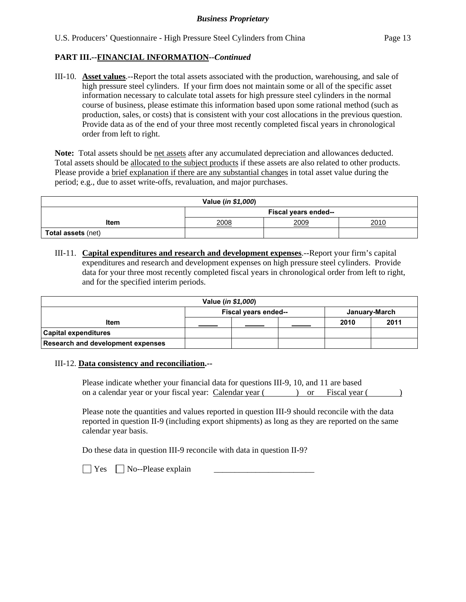III-10. **Asset values**.--Report the total assets associated with the production, warehousing, and sale of high pressure steel cylinders. If your firm does not maintain some or all of the specific asset information necessary to calculate total assets for high pressure steel cylinders in the normal course of business, please estimate this information based upon some rational method (such as production, sales, or costs) that is consistent with your cost allocations in the previous question. Provide data as of the end of your three most recently completed fiscal years in chronological order from left to right.

**Note:** Total assets should be net assets after any accumulated depreciation and allowances deducted. Total assets should be allocated to the subject products if these assets are also related to other products. Please provide a brief explanation if there are any substantial changes in total asset value during the period; e.g., due to asset write-offs, revaluation, and major purchases.

| Value (in \$1,000)        |                      |  |  |  |  |  |
|---------------------------|----------------------|--|--|--|--|--|
|                           | Fiscal years ended-- |  |  |  |  |  |
| Item                      | 2008<br>2009<br>2010 |  |  |  |  |  |
| <b>Total assets (net)</b> |                      |  |  |  |  |  |

III-11. **Capital expenditures and research and development expenses**.--Report your firm's capital expenditures and research and development expenses on high pressure steel cylinders. Provide data for your three most recently completed fiscal years in chronological order from left to right, and for the specified interim periods.

| Value ( <i>in \$1,000</i> )       |                                       |  |      |      |  |  |
|-----------------------------------|---------------------------------------|--|------|------|--|--|
|                                   | Fiscal years ended--<br>January-March |  |      |      |  |  |
| <b>Item</b>                       |                                       |  | 2010 | 2011 |  |  |
| <b>Capital expenditures</b>       |                                       |  |      |      |  |  |
| Research and development expenses |                                       |  |      |      |  |  |

## III-12. **Data consistency and reconciliation.--**

Please indicate whether your financial data for questions III-9, 10, and 11 are based on a calendar year or your fiscal year: Calendar year ( ) or Fiscal year ( )

Please note the quantities and values reported in question III-9 should reconcile with the data reported in question II-9 (including export shipments) as long as they are reported on the same calendar year basis.

Do these data in question III-9 reconcile with data in question II-9?

 $\Box$  Yes  $\Box$  No--Please explain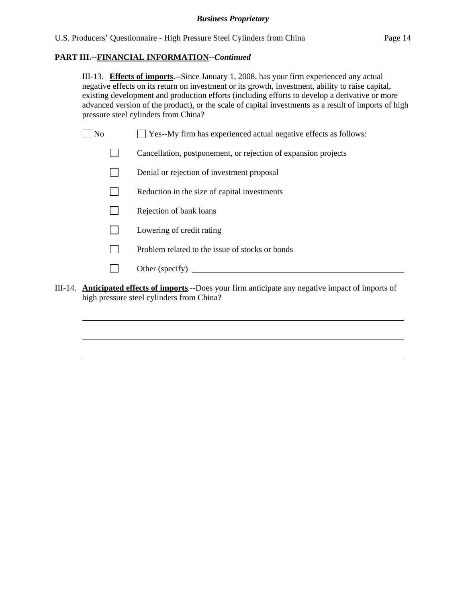III-13. **Effects of imports**.--Since January 1, 2008, has your firm experienced any actual negative effects on its return on investment or its growth, investment, ability to raise capital, existing development and production efforts (including efforts to develop a derivative or more advanced version of the product), or the scale of capital investments as a result of imports of high pressure steel cylinders from China?

|  | $\Box$ No |  |  | □ Yes--My firm has experienced actual negative effects as follows: |
|--|-----------|--|--|--------------------------------------------------------------------|
|--|-----------|--|--|--------------------------------------------------------------------|

- Cancellation, postponement, or rejection of expansion projects
- Denial or rejection of investment proposal
- $\Box$  Reduction in the size of capital investments
- $\Box$  Rejection of bank loans
- **Lowering of credit rating**
- $\Box$  Problem related to the issue of stocks or bonds
- Other (specify)

l

l

l

III-14. **Anticipated effects of imports**.--Does your firm anticipate any negative impact of imports of high pressure steel cylinders from China?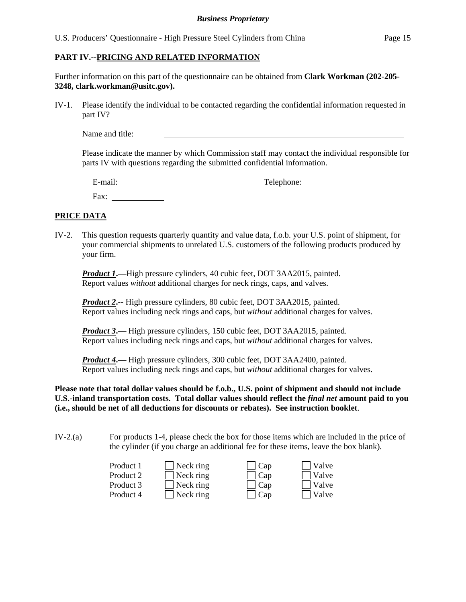#### **PART IV.--PRICING AND RELATED INFORMATION**

Further information on this part of the questionnaire can be obtained from **Clark Workman (202-205- 3248, clark.workman@usitc.gov).** 

IV-1. Please identify the individual to be contacted regarding the confidential information requested in part IV?

Name and title:

Please indicate the manner by which Commission staff may contact the individual responsible for parts IV with questions regarding the submitted confidential information.

| $\cdot$ $\cdot$<br>$\overline{\phantom{0}}$<br>±-mail: | Telephone: |
|--------------------------------------------------------|------------|
| Fax:                                                   |            |

## **PRICE DATA**

IV-2. This question requests quarterly quantity and value data, f.o.b. your U.S. point of shipment, for your commercial shipments to unrelated U.S. customers of the following products produced by your firm.

*Product 1***.—**High pressure cylinders, 40 cubic feet, DOT 3AA2015, painted. Report values *without* additional charges for neck rings, caps, and valves.

*Product 2***.--** High pressure cylinders, 80 cubic feet, DOT 3AA2015, painted. Report values including neck rings and caps, but *without* additional charges for valves.

*Product 3***.**— High pressure cylinders, 150 cubic feet, DOT 3AA2015, painted. Report values including neck rings and caps, but *without* additional charges for valves.

*Product 4***.—** High pressure cylinders, 300 cubic feet, DOT 3AA2400, painted. Report values including neck rings and caps, but *without* additional charges for valves.

**Please note that total dollar values should be f.o.b., U.S. point of shipment and should not include U.S.-inland transportation costs. Total dollar values should reflect the** *final net* **amount paid to you (i.e., should be net of all deductions for discounts or rebates). See instruction booklet**.

IV-2.(a) For products 1-4, please check the box for those items which are included in the price of the cylinder (if you charge an additional fee for these items, leave the box blank).

| Product 1 | $\Box$ Neck ring         | $\Box$ Cap | $\Box$ Valve |
|-----------|--------------------------|------------|--------------|
| Product 2 | $\Box$ Neck ring         | $\Box$ Cap | $\Box$ Valve |
| Product 3 | $\Box$ Neck ring         | $\Box$ Cap | $\Box$ Valve |
| Product 4 | $\blacksquare$ Neck ring | $\Box$ Cap | Valve        |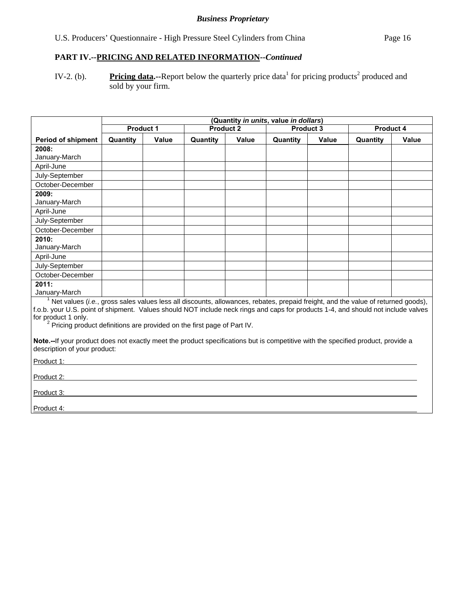# **PART IV.--PRICING AND RELATED INFORMATION***--Continued*

IV-2. (b). Pricing data.--Report below the quarterly price data<sup>1</sup> for pricing products<sup>2</sup> produced and sold by your firm.

|                                                                                                                                                                  | (Quantity in units, value in dollars)                                                                                                                                                                                                                                                                                                                            |              |                  |              |          |              |          |              |
|------------------------------------------------------------------------------------------------------------------------------------------------------------------|------------------------------------------------------------------------------------------------------------------------------------------------------------------------------------------------------------------------------------------------------------------------------------------------------------------------------------------------------------------|--------------|------------------|--------------|----------|--------------|----------|--------------|
|                                                                                                                                                                  | Product 1<br><b>Product 2</b><br><b>Product 3</b>                                                                                                                                                                                                                                                                                                                |              | <b>Product 4</b> |              |          |              |          |              |
| <b>Period of shipment</b>                                                                                                                                        | Quantity                                                                                                                                                                                                                                                                                                                                                         | <b>Value</b> | Quantity         | <b>Value</b> | Quantity | <b>Value</b> | Quantity | <b>Value</b> |
| 2008:                                                                                                                                                            |                                                                                                                                                                                                                                                                                                                                                                  |              |                  |              |          |              |          |              |
| January-March                                                                                                                                                    |                                                                                                                                                                                                                                                                                                                                                                  |              |                  |              |          |              |          |              |
| April-June                                                                                                                                                       |                                                                                                                                                                                                                                                                                                                                                                  |              |                  |              |          |              |          |              |
| July-September                                                                                                                                                   |                                                                                                                                                                                                                                                                                                                                                                  |              |                  |              |          |              |          |              |
| October-December                                                                                                                                                 |                                                                                                                                                                                                                                                                                                                                                                  |              |                  |              |          |              |          |              |
| 2009:                                                                                                                                                            |                                                                                                                                                                                                                                                                                                                                                                  |              |                  |              |          |              |          |              |
| January-March                                                                                                                                                    |                                                                                                                                                                                                                                                                                                                                                                  |              |                  |              |          |              |          |              |
| April-June                                                                                                                                                       |                                                                                                                                                                                                                                                                                                                                                                  |              |                  |              |          |              |          |              |
| July-September                                                                                                                                                   |                                                                                                                                                                                                                                                                                                                                                                  |              |                  |              |          |              |          |              |
| October-December                                                                                                                                                 |                                                                                                                                                                                                                                                                                                                                                                  |              |                  |              |          |              |          |              |
| 2010:                                                                                                                                                            |                                                                                                                                                                                                                                                                                                                                                                  |              |                  |              |          |              |          |              |
| January-March                                                                                                                                                    |                                                                                                                                                                                                                                                                                                                                                                  |              |                  |              |          |              |          |              |
| April-June                                                                                                                                                       |                                                                                                                                                                                                                                                                                                                                                                  |              |                  |              |          |              |          |              |
| July-September                                                                                                                                                   |                                                                                                                                                                                                                                                                                                                                                                  |              |                  |              |          |              |          |              |
| October-December                                                                                                                                                 |                                                                                                                                                                                                                                                                                                                                                                  |              |                  |              |          |              |          |              |
| 2011:                                                                                                                                                            |                                                                                                                                                                                                                                                                                                                                                                  |              |                  |              |          |              |          |              |
| January-March                                                                                                                                                    |                                                                                                                                                                                                                                                                                                                                                                  |              |                  |              |          |              |          |              |
| for product 1 only.                                                                                                                                              | $1$ Net values (i.e., gross sales values less all discounts, allowances, rebates, prepaid freight, and the value of returned goods),<br>f.o.b. your U.S. point of shipment. Values should NOT include neck rings and caps for products 1-4, and should not include valves<br><sup>2</sup> Pricing product definitions are provided on the first page of Part IV. |              |                  |              |          |              |          |              |
| Note.--If your product does not exactly meet the product specifications but is competitive with the specified product, provide a<br>description of your product: |                                                                                                                                                                                                                                                                                                                                                                  |              |                  |              |          |              |          |              |
| Product 1:                                                                                                                                                       |                                                                                                                                                                                                                                                                                                                                                                  |              |                  |              |          |              |          |              |
| Product 2:                                                                                                                                                       |                                                                                                                                                                                                                                                                                                                                                                  |              |                  |              |          |              |          |              |
| Product 3:                                                                                                                                                       |                                                                                                                                                                                                                                                                                                                                                                  |              |                  |              |          |              |          |              |
| Product 4:                                                                                                                                                       |                                                                                                                                                                                                                                                                                                                                                                  |              |                  |              |          |              |          |              |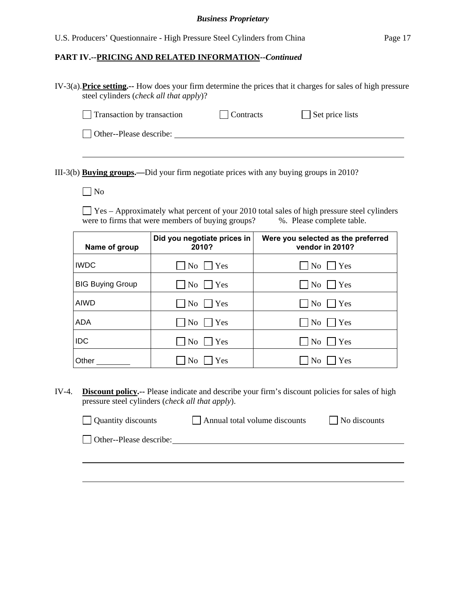#### **PART IV.--PRICING AND RELATED INFORMATION***--Continued*

IV-3(a). **Price setting.--** How does your firm determine the prices that it charges for sales of high pressure steel cylinders (*check all that apply*)?

| Transaction by transaction | <b>Contracts</b> | $\Box$ Set price lists |
|----------------------------|------------------|------------------------|
|----------------------------|------------------|------------------------|

Other--Please describe:

III-3(b) **Buying groups.—**Did your firm negotiate prices with any buying groups in 2010?

No

 $\Box$  Yes – Approximately what percent of your 2010 total sales of high pressure steel cylinders were to firms that were members of buying groups?  $\%$ . Please complete table.

| Name of group           | Did you negotiate prices in<br>2010? | Were you selected as the preferred<br>vendor in 2010? |
|-------------------------|--------------------------------------|-------------------------------------------------------|
| <b>IWDC</b>             | No<br> Yes                           | No<br>  Yes                                           |
| <b>BIG Buying Group</b> | $\mathrm{No}$     Yes                | No<br>  Yes                                           |
| AIWD                    | $\overline{N_{0}}$<br> Yes           | Yes<br>No                                             |
| ADA                     | No<br>  Yes                          | No<br>  Yes                                           |
| <b>IDC</b>              | No<br>Yes                            | N <sub>0</sub><br>Yes                                 |
| Other                   | Yes<br>No                            | Yes<br>No                                             |

IV-4. **Discount policy.--** Please indicate and describe your firm's discount policies for sales of high pressure steel cylinders (*check all that apply*).

| Quantity discounts      | Annual total volume discounts | No discounts |
|-------------------------|-------------------------------|--------------|
| Other--Please describe: |                               |              |
|                         |                               |              |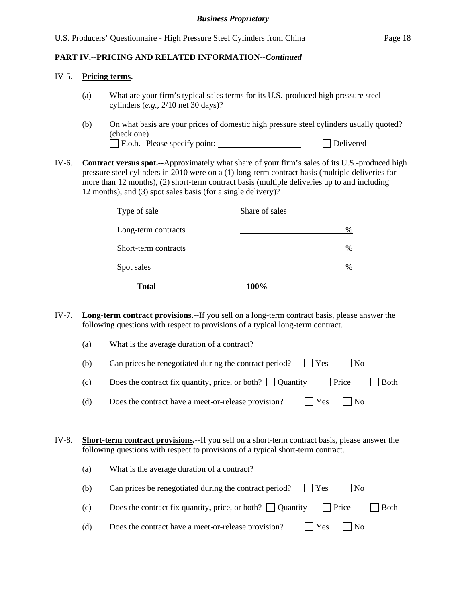#### IV-5. **Pricing terms.--**

- (a) What are your firm's typical sales terms for its U.S.-produced high pressure steel cylinders (*e.g.*, 2/10 net 30 days)?
- (b) On what basis are your prices of domestic high pressure steel cylinders usually quoted? (check one) F.o.b.--Please specify point: Delivered
- IV-6. **Contract versus spot.--**Approximately what share of your firm's sales of its U.S.-produced high pressure steel cylinders in 2010 were on a (1) long-term contract basis (multiple deliveries for more than 12 months), (2) short-term contract basis (multiple deliveries up to and including 12 months), and (3) spot sales basis (for a single delivery)?

| <b>Total</b>         | 100%           |
|----------------------|----------------|
| Spot sales           | %              |
| Short-term contracts | %              |
| Long-term contracts  | %              |
| Type of sale         | Share of sales |

IV-7. **Long-term contract provisions.--**If you sell on a long-term contract basis, please answer the following questions with respect to provisions of a typical long-term contract.

| (a) | What is the average duration of a contract?                                                       |
|-----|---------------------------------------------------------------------------------------------------|
| (b) | Can prices be renegotiated during the contract period?<br>$\blacksquare$ Yes<br>$\blacksquare$ No |
| (c) | Does the contract fix quantity, price, or both? $\Box$ Quantity $\Box$ Price<br> Both             |
| (d) | Does the contract have a meet-or-release provision?<br>$\blacksquare$ Yes<br>$\vert$   No         |

IV-8. **Short-term contract provisions.--**If you sell on a short-term contract basis, please answer the following questions with respect to provisions of a typical short-term contract.

| (a) | What is the average duration of a contract?                                                  |
|-----|----------------------------------------------------------------------------------------------|
| (b) | Can prices be renegotiated during the contract period? $\Box$ Yes<br>$\vert$ $\vert$ No      |
| (c) | Does the contract fix quantity, price, or both? $\Box$ Quantity $\Box$ Price<br>$\vert$ Both |
| (d) | Does the contract have a meet-or-release provision?<br>$\vert$   No<br>$ $ Yes               |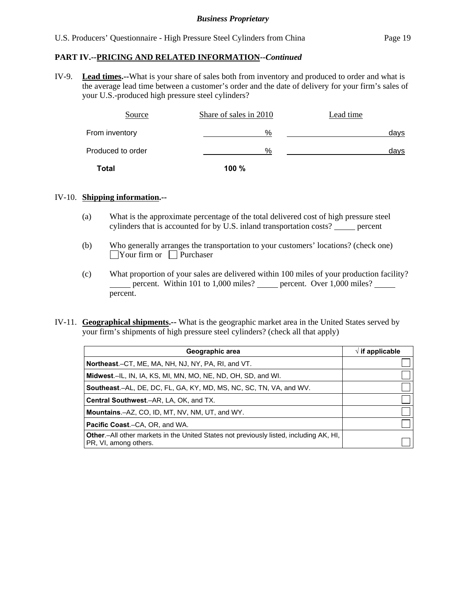## **PART IV.--PRICING AND RELATED INFORMATION***--Continued*

IV-9. **Lead times.--**What is your share of sales both from inventory and produced to order and what is the average lead time between a customer's order and the date of delivery for your firm's sales of your U.S.-produced high pressure steel cylinders?

| Source            | Share of sales in 2010 | Lead time |
|-------------------|------------------------|-----------|
| From inventory    | %                      | days      |
| Produced to order | %                      | days      |
| <b>Total</b>      | 100%                   |           |

#### IV-10. **Shipping information.--**

- (a) What is the approximate percentage of the total delivered cost of high pressure steel cylinders that is accounted for by U.S. inland transportation costs? percent
- (b) Who generally arranges the transportation to your customers' locations? (check one)  $\Box$ Your firm or  $\Box$  Purchaser
- (c) What proportion of your sales are delivered within 100 miles of your production facility? percent. Within 101 to 1,000 miles? percent. Over 1,000 miles? percent.
- IV-11. **Geographical shipments.--** What is the geographic market area in the United States served by your firm's shipments of high pressure steel cylinders? (check all that apply)

| Geographic area                                                                                                 | $\sqrt{ }$ if applicable |
|-----------------------------------------------------------------------------------------------------------------|--------------------------|
| <b>Northeast.</b> –CT, ME, MA, NH, NJ, NY, PA, RI, and VT.                                                      |                          |
| <b>Midwest.</b> -IL, IN, IA, KS, MI, MN, MO, NE, ND, OH, SD, and WI.                                            |                          |
| <b>Southeast.–AL, DE, DC, FL, GA, KY, MD, MS, NC, SC, TN, VA, and WV.</b>                                       |                          |
| Central Southwest.-AR, LA, OK, and TX.                                                                          |                          |
| <b>Mountains.-AZ, CO, ID, MT, NV, NM, UT, and WY.</b>                                                           |                          |
| <b>Pacific Coast.–CA, OR, and WA.</b>                                                                           |                          |
| Other.-All other markets in the United States not previously listed, including AK, HI,<br>PR, VI, among others. |                          |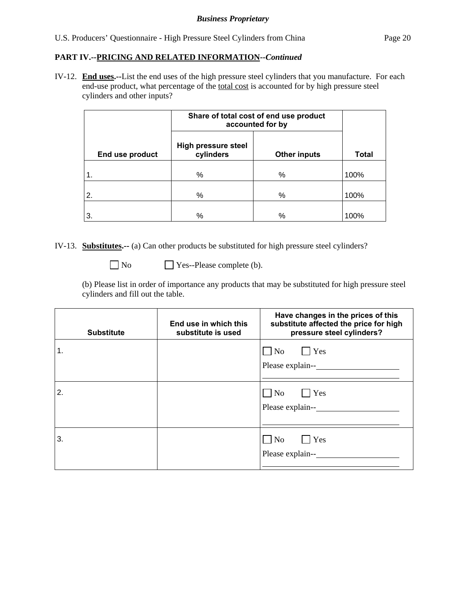## **PART IV.--PRICING AND RELATED INFORMATION***--Continued*

IV-12. **End uses.--**List the end uses of the high pressure steel cylinders that you manufacture. For each end-use product, what percentage of the total cost is accounted for by high pressure steel cylinders and other inputs?

|                 | Share of total cost of end use product<br>accounted for by |                     |              |
|-----------------|------------------------------------------------------------|---------------------|--------------|
| End use product | <b>High pressure steel</b><br>cylinders                    | <b>Other inputs</b> | <b>Total</b> |
| $\mathbf 1$ .   | %                                                          | %                   | 100%         |
| 2.              | %                                                          | %                   | 100%         |
| 3.              | %                                                          | %                   | 100%         |

IV-13. **Substitutes.--** (a) Can other products be substituted for high pressure steel cylinders?

 $\Box$  No  $\Box$  Yes--Please complete (b).

(b) Please list in order of importance any products that may be substituted for high pressure steel cylinders and fill out the table.

| <b>Substitute</b> | End use in which this<br>substitute is used | Have changes in the prices of this<br>substitute affected the price for high<br>pressure steel cylinders? |
|-------------------|---------------------------------------------|-----------------------------------------------------------------------------------------------------------|
| 1.                |                                             | $\n  No\n  Yes\n$<br>Please explain--                                                                     |
| 2.                |                                             | $\neg$ No $\neg$ Yes<br>Please explain--                                                                  |
| 3.                |                                             | $\Box$ No<br>$\Box$ Yes<br>Please explain--                                                               |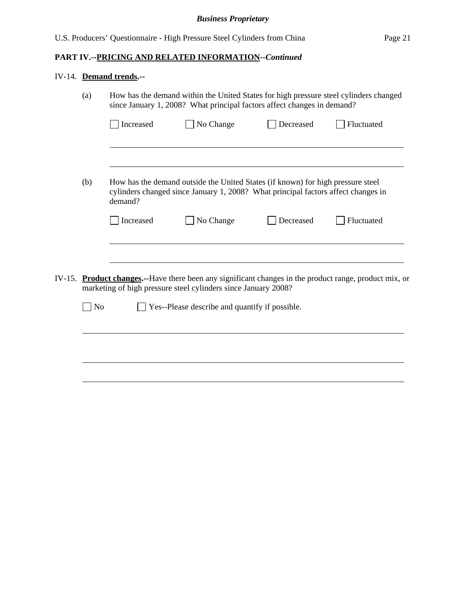# **PART IV.--PRICING AND RELATED INFORMATION***--Continued*

# IV-14. **Demand trends.--**

|        | (a)            | How has the demand within the United States for high pressure steel cylinders changed<br>since January 1, 2008? What principal factors affect changes in demand? |                                                                                                                                                                      |           |                                                                                                         |
|--------|----------------|------------------------------------------------------------------------------------------------------------------------------------------------------------------|----------------------------------------------------------------------------------------------------------------------------------------------------------------------|-----------|---------------------------------------------------------------------------------------------------------|
|        |                | Increased                                                                                                                                                        | No Change                                                                                                                                                            | Decreased | Fluctuated                                                                                              |
|        |                |                                                                                                                                                                  |                                                                                                                                                                      |           |                                                                                                         |
|        | (b)            | demand?                                                                                                                                                          | How has the demand outside the United States (if known) for high pressure steel<br>cylinders changed since January 1, 2008? What principal factors affect changes in |           |                                                                                                         |
|        |                | Increased                                                                                                                                                        | No Change                                                                                                                                                            | Decreased | Fluctuated                                                                                              |
|        |                |                                                                                                                                                                  |                                                                                                                                                                      |           |                                                                                                         |
| IV-15. |                |                                                                                                                                                                  | marketing of high pressure steel cylinders since January 2008?                                                                                                       |           | <b>Product changes.</b> --Have there been any significant changes in the product range, product mix, or |
|        | N <sub>o</sub> |                                                                                                                                                                  | Yes--Please describe and quantify if possible.                                                                                                                       |           |                                                                                                         |
|        |                |                                                                                                                                                                  |                                                                                                                                                                      |           |                                                                                                         |
|        |                |                                                                                                                                                                  |                                                                                                                                                                      |           |                                                                                                         |
|        |                |                                                                                                                                                                  |                                                                                                                                                                      |           |                                                                                                         |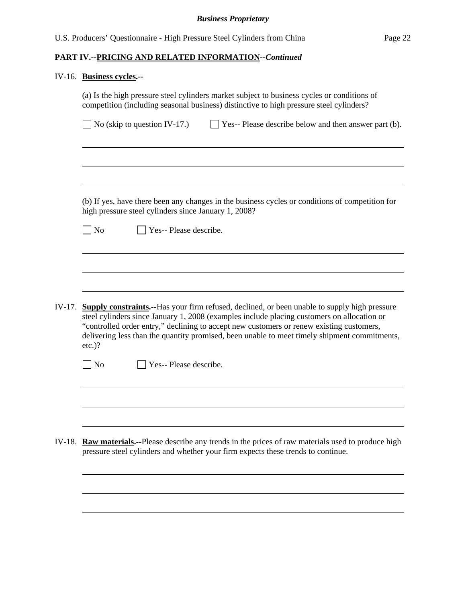# IV-16. **Business cycles.--**

|        | (a) Is the high pressure steel cylinders market subject to business cycles or conditions of<br>competition (including seasonal business) distinctive to high pressure steel cylinders?                                                                                                                                                                                                                      |                                                      |                                                                                                                                                                                           |  |  |  |  |  |
|--------|-------------------------------------------------------------------------------------------------------------------------------------------------------------------------------------------------------------------------------------------------------------------------------------------------------------------------------------------------------------------------------------------------------------|------------------------------------------------------|-------------------------------------------------------------------------------------------------------------------------------------------------------------------------------------------|--|--|--|--|--|
|        |                                                                                                                                                                                                                                                                                                                                                                                                             | No (skip to question IV-17.)                         | $\Box$ Yes-- Please describe below and then answer part (b).                                                                                                                              |  |  |  |  |  |
|        |                                                                                                                                                                                                                                                                                                                                                                                                             |                                                      |                                                                                                                                                                                           |  |  |  |  |  |
|        |                                                                                                                                                                                                                                                                                                                                                                                                             | high pressure steel cylinders since January 1, 2008? | (b) If yes, have there been any changes in the business cycles or conditions of competition for                                                                                           |  |  |  |  |  |
|        | No                                                                                                                                                                                                                                                                                                                                                                                                          | Yes-- Please describe.                               |                                                                                                                                                                                           |  |  |  |  |  |
|        |                                                                                                                                                                                                                                                                                                                                                                                                             |                                                      |                                                                                                                                                                                           |  |  |  |  |  |
|        |                                                                                                                                                                                                                                                                                                                                                                                                             |                                                      |                                                                                                                                                                                           |  |  |  |  |  |
| IV-17. | <b>Supply constraints.</b> --Has your firm refused, declined, or been unable to supply high pressure<br>steel cylinders since January 1, 2008 (examples include placing customers on allocation or<br>"controlled order entry," declining to accept new customers or renew existing customers,<br>delivering less than the quantity promised, been unable to meet timely shipment commitments,<br>$etc.$ )? |                                                      |                                                                                                                                                                                           |  |  |  |  |  |
|        | $\Box$ No                                                                                                                                                                                                                                                                                                                                                                                                   | Yes-- Please describe.                               |                                                                                                                                                                                           |  |  |  |  |  |
|        |                                                                                                                                                                                                                                                                                                                                                                                                             |                                                      |                                                                                                                                                                                           |  |  |  |  |  |
|        |                                                                                                                                                                                                                                                                                                                                                                                                             |                                                      |                                                                                                                                                                                           |  |  |  |  |  |
|        |                                                                                                                                                                                                                                                                                                                                                                                                             |                                                      | IV-18. Raw materials.--Please describe any trends in the prices of raw materials used to produce high<br>pressure steel cylinders and whether your firm expects these trends to continue. |  |  |  |  |  |
|        |                                                                                                                                                                                                                                                                                                                                                                                                             |                                                      |                                                                                                                                                                                           |  |  |  |  |  |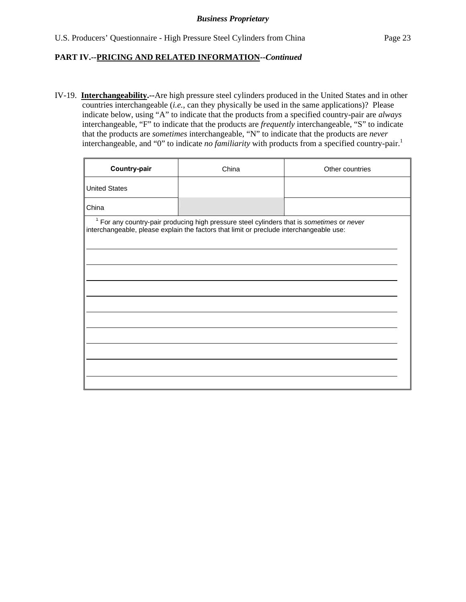IV-19. **Interchangeability.--**Are high pressure steel cylinders produced in the United States and in other countries interchangeable (*i.e.*, can they physically be used in the same applications)? Please indicate below, using "A" to indicate that the products from a specified country-pair are *always* interchangeable, "F" to indicate that the products are *frequently* interchangeable, "S" to indicate that the products are *sometimes* interchangeable, "N" to indicate that the products are *never* interchangeable, and "0" to indicate *no familiarity* with products from a specified country-pair.<sup>1</sup>

| Country-pair         | China                                                                                                                                                                                           | Other countries |
|----------------------|-------------------------------------------------------------------------------------------------------------------------------------------------------------------------------------------------|-----------------|
| <b>United States</b> |                                                                                                                                                                                                 |                 |
| China                |                                                                                                                                                                                                 |                 |
|                      | <sup>1</sup> For any country-pair producing high pressure steel cylinders that is sometimes or never<br>interchangeable, please explain the factors that limit or preclude interchangeable use: |                 |
|                      |                                                                                                                                                                                                 |                 |
|                      |                                                                                                                                                                                                 |                 |
|                      |                                                                                                                                                                                                 |                 |
|                      |                                                                                                                                                                                                 |                 |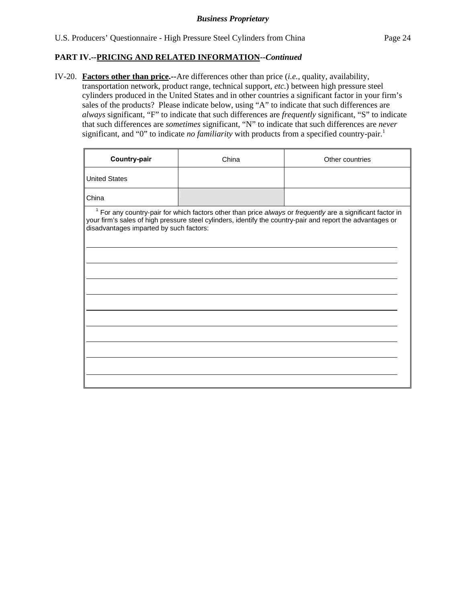IV-20. **Factors other than price.--**Are differences other than price (*i.e.*, quality, availability, transportation network, product range, technical support, *etc.*) between high pressure steel cylinders produced in the United States and in other countries a significant factor in your firm's sales of the products? Please indicate below, using "A" to indicate that such differences are *always* significant, "F" to indicate that such differences are *frequently* significant, "S" to indicate that such differences are *sometimes* significant, "N" to indicate that such differences are *never* significant, and "0" to indicate *no familiarity* with products from a specified country-pair.<sup>1</sup>

| Country-pair                            | China | Other countries                                                                                                                                                                                                                     |
|-----------------------------------------|-------|-------------------------------------------------------------------------------------------------------------------------------------------------------------------------------------------------------------------------------------|
| <b>United States</b>                    |       |                                                                                                                                                                                                                                     |
| China                                   |       |                                                                                                                                                                                                                                     |
| disadvantages imparted by such factors: |       | <sup>1</sup> For any country-pair for which factors other than price always or frequently are a significant factor in<br>your firm's sales of high pressure steel cylinders, identify the country-pair and report the advantages or |
|                                         |       |                                                                                                                                                                                                                                     |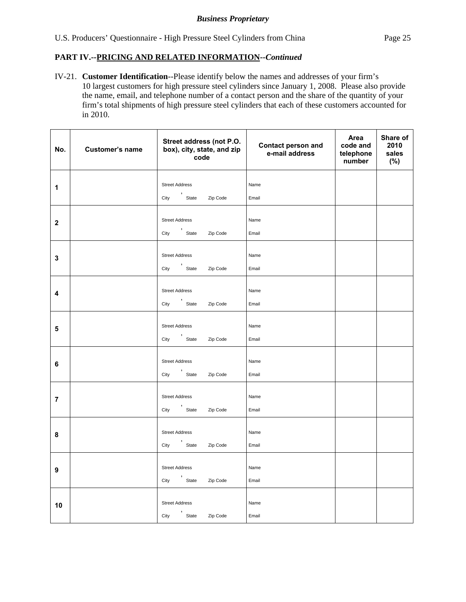IV-21. **Customer Identification**--Please identify below the names and addresses of your firm's 10 largest customers for high pressure steel cylinders since January 1, 2008. Please also provide the name, email, and telephone number of a contact person and the share of the quantity of your firm's total shipments of high pressure steel cylinders that each of these customers accounted for in 2010.

| No.              | <b>Customer's name</b> | Street address (not P.O.<br>box), city, state, and zip<br>code | <b>Contact person and</b><br>e-mail address | Area<br>code and<br>telephone<br>number | Share of<br>2010<br>sales<br>(%) |
|------------------|------------------------|----------------------------------------------------------------|---------------------------------------------|-----------------------------------------|----------------------------------|
| 1                |                        | <b>Street Address</b><br>' State<br>City<br>Zip Code           | Name<br>Email                               |                                         |                                  |
| $\boldsymbol{2}$ |                        | <b>Street Address</b><br>City 'State<br>Zip Code               | Name<br>Email                               |                                         |                                  |
| 3                |                        | <b>Street Address</b><br>City State<br>Zip Code                | Name<br>Email                               |                                         |                                  |
| 4                |                        | <b>Street Address</b><br>'<br>State<br>City<br>Zip Code        | Name<br>Email                               |                                         |                                  |
| 5                |                        | <b>Street Address</b><br>City 'State<br>Zip Code               | Name<br>Email                               |                                         |                                  |
| 6                |                        | <b>Street Address</b><br>City State<br>Zip Code                | Name<br>Email                               |                                         |                                  |
| $\overline{7}$   |                        | <b>Street Address</b><br>City 'State<br>Zip Code               | Name<br>Email                               |                                         |                                  |
| 8                |                        | <b>Street Address</b><br>,<br>State<br>City<br>Zip Code        | Name<br>Email                               |                                         |                                  |
| 9                |                        | <b>Street Address</b><br>,<br>State<br>City<br>Zip Code        | Name<br>Email                               |                                         |                                  |
| 10               |                        | <b>Street Address</b><br>City State<br>Zip Code                | Name<br>Email                               |                                         |                                  |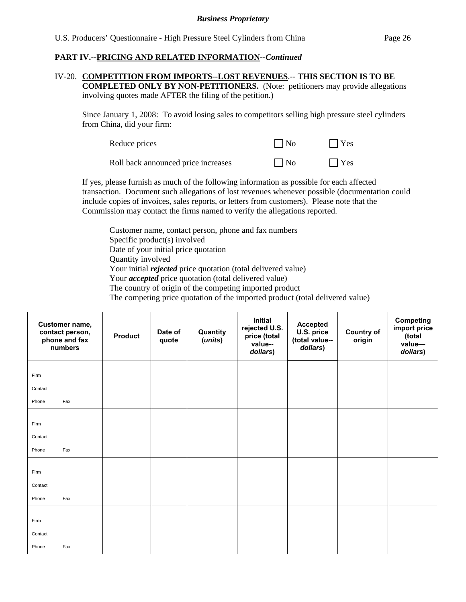#### IV-20. **COMPETITION FROM IMPORTS--LOST REVENUES**.-- **THIS SECTION IS TO BE COMPLETED ONLY BY NON-PETITIONERS.** (Note: petitioners may provide allegations involving quotes made AFTER the filing of the petition.)

Since January 1, 2008: To avoid losing sales to competitors selling high pressure steel cylinders from China, did your firm:

| Reduce prices                       | $\vert$ $\vert$ No | $ $ Yes    |
|-------------------------------------|--------------------|------------|
| Roll back announced price increases | $\vert$ $\vert$ No | $\Box$ Yes |

If yes, please furnish as much of the following information as possible for each affected transaction. Document such allegations of lost revenues whenever possible (documentation could include copies of invoices, sales reports, or letters from customers). Please note that the Commission may contact the firms named to verify the allegations reported.

Customer name, contact person, phone and fax numbers Specific product(s) involved Date of your initial price quotation Quantity involved Your initial *rejected* price quotation (total delivered value) Your *accepted* price quotation (total delivered value) The country of origin of the competing imported product The competing price quotation of the imported product (total delivered value)

| Customer name,<br>contact person,<br>phone and fax<br>numbers | <b>Product</b> | Date of<br>quote | Quantity<br>(units) | Initial<br>rejected U.S.<br>price (total<br>value--<br>dollars) | <b>Accepted</b><br>U.S. price<br>(total value--<br>dollars) | <b>Country of</b><br>origin | <b>Competing</b><br>import price<br>(total<br>value-<br>dollars) |
|---------------------------------------------------------------|----------------|------------------|---------------------|-----------------------------------------------------------------|-------------------------------------------------------------|-----------------------------|------------------------------------------------------------------|
| Firm                                                          |                |                  |                     |                                                                 |                                                             |                             |                                                                  |
| Contact                                                       |                |                  |                     |                                                                 |                                                             |                             |                                                                  |
| Fax<br>Phone                                                  |                |                  |                     |                                                                 |                                                             |                             |                                                                  |
| Firm                                                          |                |                  |                     |                                                                 |                                                             |                             |                                                                  |
| Contact                                                       |                |                  |                     |                                                                 |                                                             |                             |                                                                  |
| Fax<br>Phone                                                  |                |                  |                     |                                                                 |                                                             |                             |                                                                  |
| Firm<br>Contact                                               |                |                  |                     |                                                                 |                                                             |                             |                                                                  |
| Fax<br>Phone                                                  |                |                  |                     |                                                                 |                                                             |                             |                                                                  |
| Firm<br>Contact                                               |                |                  |                     |                                                                 |                                                             |                             |                                                                  |
| Fax<br>Phone                                                  |                |                  |                     |                                                                 |                                                             |                             |                                                                  |